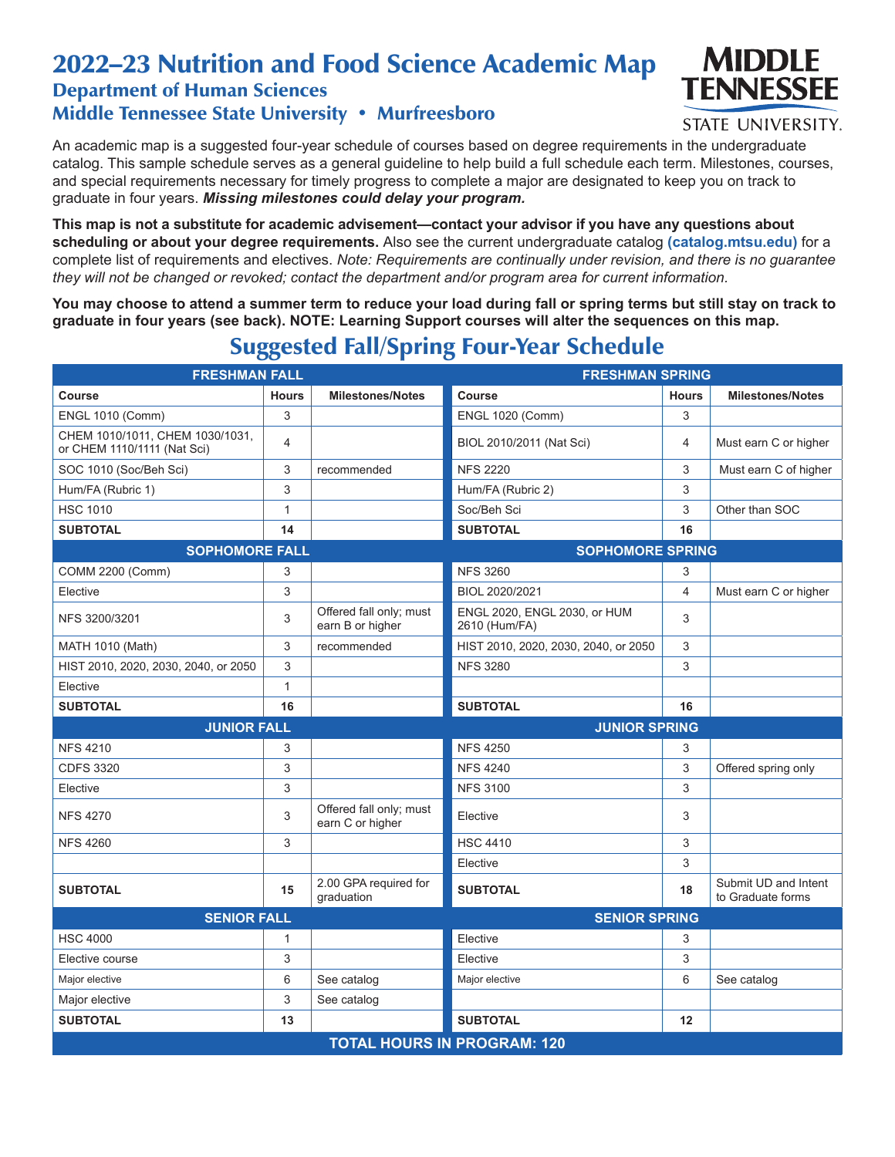## 2022–23 Nutrition and Food Science Academic Map Department of Human Sciences

Middle Tennessee State University • Murfreesboro



## **STATE UNIVERSITY.**

An academic map is a suggested four-year schedule of courses based on degree requirements in the undergraduate catalog. This sample schedule serves as a general guideline to help build a full schedule each term. Milestones, courses, and special requirements necessary for timely progress to complete a major are designated to keep you on track to graduate in four years. *Missing milestones could delay your program.*

**This map is not a substitute for academic advisement—contact your advisor if you have any questions about scheduling or about your degree requirements.** Also see the current undergraduate catalog **(catalog.mtsu.edu)** for a complete list of requirements and electives. *Note: Requirements are continually under revision, and there is no guarantee they will not be changed or revoked; contact the department and/or program area for current information.*

**You may choose to attend a summer term to reduce your load during fall or spring terms but still stay on track to graduate in four years (see back). NOTE: Learning Support courses will alter the sequences on this map.**

| <b>FRESHMAN FALL</b>                                           |                |                                             | <b>FRESHMAN SPRING</b>                        |                |                                           |  |  |  |
|----------------------------------------------------------------|----------------|---------------------------------------------|-----------------------------------------------|----------------|-------------------------------------------|--|--|--|
| <b>Course</b>                                                  | <b>Hours</b>   | <b>Milestones/Notes</b>                     | Course                                        | <b>Hours</b>   | <b>Milestones/Notes</b>                   |  |  |  |
| <b>ENGL 1010 (Comm)</b>                                        | 3              |                                             | <b>ENGL 1020 (Comm)</b>                       | 3              |                                           |  |  |  |
| CHEM 1010/1011, CHEM 1030/1031,<br>or CHEM 1110/1111 (Nat Sci) | $\overline{4}$ |                                             | BIOL 2010/2011 (Nat Sci)                      | $\overline{4}$ | Must earn C or higher                     |  |  |  |
| SOC 1010 (Soc/Beh Sci)                                         | 3              | recommended                                 | <b>NFS 2220</b>                               | 3              | Must earn C of higher                     |  |  |  |
| Hum/FA (Rubric 1)                                              | 3              |                                             | Hum/FA (Rubric 2)                             | 3              |                                           |  |  |  |
| <b>HSC 1010</b>                                                | $\mathbf{1}$   |                                             | Soc/Beh Sci                                   | 3              | Other than SOC                            |  |  |  |
| <b>SUBTOTAL</b>                                                | 14             |                                             | <b>SUBTOTAL</b>                               | 16             |                                           |  |  |  |
| <b>SOPHOMORE FALL</b>                                          |                |                                             | <b>SOPHOMORE SPRING</b>                       |                |                                           |  |  |  |
| <b>COMM 2200 (Comm)</b>                                        | 3              |                                             | <b>NFS 3260</b>                               | 3              |                                           |  |  |  |
| Elective                                                       | 3              |                                             | BIOL 2020/2021                                | $\overline{4}$ | Must earn C or higher                     |  |  |  |
| NFS 3200/3201                                                  | 3              | Offered fall only; must<br>earn B or higher | ENGL 2020, ENGL 2030, or HUM<br>2610 (Hum/FA) | 3              |                                           |  |  |  |
| <b>MATH 1010 (Math)</b>                                        | 3              | recommended                                 | HIST 2010, 2020, 2030, 2040, or 2050          | 3              |                                           |  |  |  |
| HIST 2010, 2020, 2030, 2040, or 2050                           | 3              |                                             | <b>NFS 3280</b>                               | 3              |                                           |  |  |  |
| Elective                                                       | 1              |                                             |                                               |                |                                           |  |  |  |
| <b>SUBTOTAL</b>                                                | 16             |                                             | <b>SUBTOTAL</b>                               | 16             |                                           |  |  |  |
| <b>JUNIOR FALL</b>                                             |                |                                             | <b>JUNIOR SPRING</b>                          |                |                                           |  |  |  |
| <b>NFS 4210</b>                                                | 3              |                                             | <b>NFS 4250</b>                               | 3              |                                           |  |  |  |
| <b>CDFS 3320</b>                                               | 3              |                                             | <b>NFS 4240</b>                               | 3              | Offered spring only                       |  |  |  |
| Elective                                                       | 3              |                                             | <b>NFS 3100</b>                               | 3              |                                           |  |  |  |
| <b>NFS 4270</b>                                                | 3              | Offered fall only; must<br>earn C or higher | Elective                                      | 3              |                                           |  |  |  |
| <b>NFS 4260</b>                                                | 3              |                                             | <b>HSC 4410</b>                               | 3              |                                           |  |  |  |
|                                                                |                |                                             | Elective                                      | 3              |                                           |  |  |  |
| <b>SUBTOTAL</b>                                                | 15             | 2.00 GPA required for<br>graduation         | <b>SUBTOTAL</b>                               | 18             | Submit UD and Intent<br>to Graduate forms |  |  |  |
| <b>SENIOR FALL</b>                                             |                | <b>SENIOR SPRING</b>                        |                                               |                |                                           |  |  |  |
| <b>HSC 4000</b>                                                | 1              |                                             | Elective                                      | 3              |                                           |  |  |  |
| Elective course                                                | 3              |                                             | Elective                                      | 3              |                                           |  |  |  |
| Major elective                                                 | 6              | See catalog                                 | Major elective                                | 6              | See catalog                               |  |  |  |
| Major elective                                                 | 3              | See catalog                                 |                                               |                |                                           |  |  |  |
| <b>SUBTOTAL</b>                                                | 13             |                                             | <b>SUBTOTAL</b>                               | 12             |                                           |  |  |  |
| <b>TOTAL HOURS IN PROGRAM: 120</b>                             |                |                                             |                                               |                |                                           |  |  |  |

## Suggested Fall/Spring Four-Year Schedule